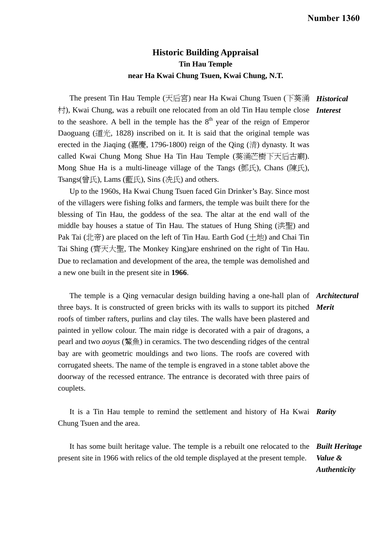## **Historic Building Appraisal Tin Hau Temple near Ha Kwai Chung Tsuen, Kwai Chung, N.T.**

The present Tin Hau Temple (天后宮) near Ha Kwai Chung Tsuen (下葵涌 *Historical*  村), Kwai Chung, was a rebuilt one relocated from an old Tin Hau temple close *Interest*  to the seashore. A bell in the temple has the  $8<sup>th</sup>$  year of the reign of Emperor Daoguang (道光, 1828) inscribed on it. It is said that the original temple was erected in the Jiaqing (嘉慶, 1796-1800) reign of the Qing (清) dynasty. It was called Kwai Chung Mong Shue Ha Tin Hau Temple (葵涌芒樹下天后古廟). Mong Shue Ha is a multi-lineage village of the Tangs (鄧氏), Chans (陳氏), Tsangs(曾氏), Lams (藍氏), Sins (冼氏) and others.

Up to the 1960s, Ha Kwai Chung Tsuen faced Gin Drinker's Bay. Since most of the villagers were fishing folks and farmers, the temple was built there for the blessing of Tin Hau, the goddess of the sea. The altar at the end wall of the middle bay houses a statue of Tin Hau. The statues of Hung Shing (洪聖) and Pak Tai (北帝) are placed on the left of Tin Hau. Earth God (土地) and Chai Tin Tai Shing (齊天大聖, The Monkey King)are enshrined on the right of Tin Hau. Due to reclamation and development of the area, the temple was demolished and a new one built in the present site in **1966**.

 The temple is a Qing vernacular design building having a one-hall plan of *Architectural*  three bays. It is constructed of green bricks with its walls to support its pitched *Merit*  roofs of timber rafters, purlins and clay tiles. The walls have been plastered and painted in yellow colour. The main ridge is decorated with a pair of dragons, a pearl and two *aoyus* (鰲魚) in ceramics. The two descending ridges of the central bay are with geometric mouldings and two lions. The roofs are covered with corrugated sheets. The name of the temple is engraved in a stone tablet above the doorway of the recessed entrance. The entrance is decorated with three pairs of couplets.

 It is a Tin Hau temple to remind the settlement and history of Ha Kwai *Rarity*  Chung Tsuen and the area.

 It has some built heritage value. The temple is a rebuilt one relocated to the *Built Heritage*  present site in 1966 with relics of the old temple displayed at the present temple. *Value & Authenticity*